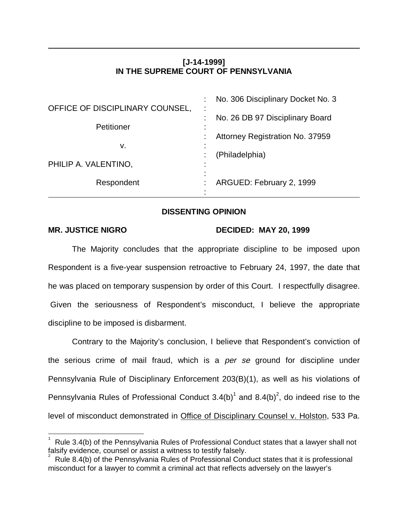# **[J-14-1999] IN THE SUPREME COURT OF PENNSYLVANIA**

| OFFICE OF DISCIPLINARY COUNSEL, | No. 306 Disciplinary Docket No. 3<br>٠                 |
|---------------------------------|--------------------------------------------------------|
|                                 | ٠.<br>No. 26 DB 97 Disciplinary Board                  |
| Petitioner                      | ٠<br>$\blacksquare$<br>Attorney Registration No. 37959 |
| v.                              | $\blacksquare$<br>(Philadelphia)                       |
| PHILIP A. VALENTINO,            | ٠<br>$\blacksquare$                                    |
| Respondent                      | $\blacksquare$<br>ARGUED: February 2, 1999             |

# **DISSENTING OPINION**

 $\overline{a}$ 

## **MR. JUSTICE NIGRO DECIDED: MAY 20, 1999**

The Majority concludes that the appropriate discipline to be imposed upon Respondent is a five-year suspension retroactive to February 24, 1997, the date that he was placed on temporary suspension by order of this Court. I respectfully disagree. Given the seriousness of Respondent's misconduct, I believe the appropriate discipline to be imposed is disbarment.

Contrary to the Majority's conclusion, I believe that Respondent's conviction of the serious crime of mail fraud, which is a per se ground for discipline under Pennsylvania Rule of Disciplinary Enforcement 203(B)(1), as well as his violations of Pennsylvania Rules of Professional Conduct  $3.4(b)^1$  and  $8.4(b)^2$ , do indeed rise to the level of misconduct demonstrated in Office of Disciplinary Counsel v. Holston, 533 Pa.

<sup>1</sup> Rule 3.4(b) of the Pennsylvania Rules of Professional Conduct states that a lawyer shall not falsify evidence, counsel or assist a witness to testify falsely.

Rule 8.4(b) of the Pennsylvania Rules of Professional Conduct states that it is professional misconduct for a lawyer to commit a criminal act that reflects adversely on the lawyer's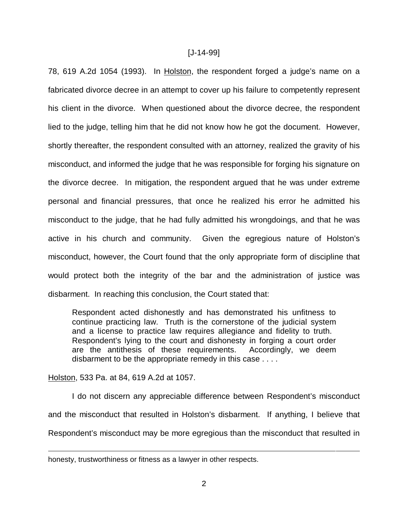### [J-14-99]

78, 619 A.2d 1054 (1993). In Holston, the respondent forged a judge's name on a fabricated divorce decree in an attempt to cover up his failure to competently represent his client in the divorce. When questioned about the divorce decree, the respondent lied to the judge, telling him that he did not know how he got the document. However, shortly thereafter, the respondent consulted with an attorney, realized the gravity of his misconduct, and informed the judge that he was responsible for forging his signature on the divorce decree. In mitigation, the respondent argued that he was under extreme personal and financial pressures, that once he realized his error he admitted his misconduct to the judge, that he had fully admitted his wrongdoings, and that he was active in his church and community. Given the egregious nature of Holston's misconduct, however, the Court found that the only appropriate form of discipline that would protect both the integrity of the bar and the administration of justice was disbarment. In reaching this conclusion, the Court stated that:

Respondent acted dishonestly and has demonstrated his unfitness to continue practicing law. Truth is the cornerstone of the judicial system and a license to practice law requires allegiance and fidelity to truth. Respondent's lying to the court and dishonesty in forging a court order are the antithesis of these requirements. Accordingly, we deem disbarment to be the appropriate remedy in this case . . . .

### Holston, 533 Pa. at 84, 619 A.2d at 1057.

I do not discern any appreciable difference between Respondent's misconduct and the misconduct that resulted in Holston's disbarment. If anything, I believe that Respondent's misconduct may be more egregious than the misconduct that resulted in

honesty, trustworthiness or fitness as a lawyer in other respects.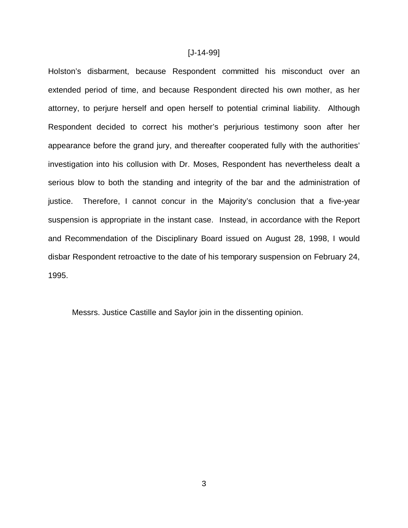#### [J-14-99]

Holston's disbarment, because Respondent committed his misconduct over an extended period of time, and because Respondent directed his own mother, as her attorney, to perjure herself and open herself to potential criminal liability. Although Respondent decided to correct his mother's perjurious testimony soon after her appearance before the grand jury, and thereafter cooperated fully with the authorities' investigation into his collusion with Dr. Moses, Respondent has nevertheless dealt a serious blow to both the standing and integrity of the bar and the administration of justice. Therefore, I cannot concur in the Majority's conclusion that a five-year suspension is appropriate in the instant case. Instead, in accordance with the Report and Recommendation of the Disciplinary Board issued on August 28, 1998, I would disbar Respondent retroactive to the date of his temporary suspension on February 24, 1995.

Messrs. Justice Castille and Saylor join in the dissenting opinion.

3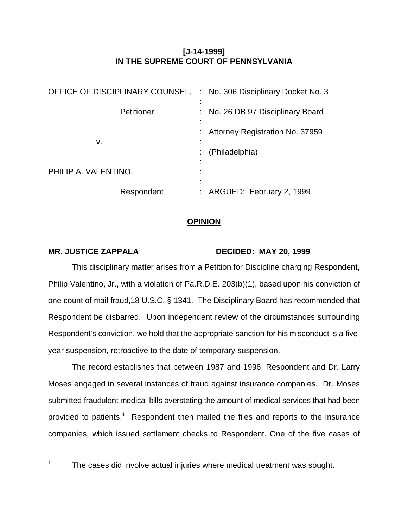# **[J-14-1999] IN THE SUPREME COURT OF PENNSYLVANIA**

| OFFICE OF DISCIPLINARY COUNSEL, | : No. 306 Disciplinary Docket No. 3 |
|---------------------------------|-------------------------------------|
| Petitioner                      | : No. 26 DB 97 Disciplinary Board   |
| v.                              | Attorney Registration No. 37959     |
|                                 | (Philadelphia)                      |
| PHILIP A. VALENTINO,            |                                     |
| Respondent                      | : ARGUED: February 2, 1999          |

# **OPINION**

# MR. JUSTICE ZAPPALA DECIDED: MAY 20, 1999

This disciplinary matter arises from a Petition for Discipline charging Respondent, Philip Valentino, Jr., with a violation of Pa.R.D.E. 203(b)(1), based upon his conviction of one count of mail fraud,18 U.S.C. § 1341. The Disciplinary Board has recommended that Respondent be disbarred. Upon independent review of the circumstances surrounding Respondent's conviction, we hold that the appropriate sanction for his misconduct is a fiveyear suspension, retroactive to the date of temporary suspension.

The record establishes that between 1987 and 1996, Respondent and Dr. Larry Moses engaged in several instances of fraud against insurance companies. Dr. Moses submitted fraudulent medical bills overstating the amount of medical services that had been provided to patients.<sup>1</sup> Respondent then mailed the files and reports to the insurance companies, which issued settlement checks to Respondent. One of the five cases of

 $\overline{a}$ 1

The cases did involve actual injuries where medical treatment was sought.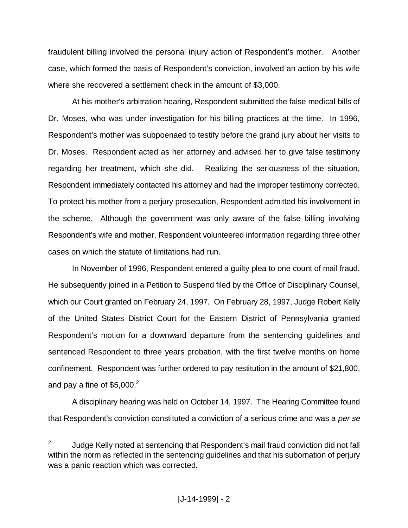fraudulent billing involved the personal injury action of Respondent's mother. Another case, which formed the basis of Respondent's conviction, involved an action by his wife where she recovered a settlement check in the amount of \$3,000.

At his mother's arbitration hearing, Respondent submitted the false medical bills of Dr. Moses, who was under investigation for his billing practices at the time. In 1996, Respondent's mother was subpoenaed to testify before the grand jury about her visits to Dr. Moses. Respondent acted as her attorney and advised her to give false testimony regarding her treatment, which she did. Realizing the seriousness of the situation, Respondent immediately contacted his attorney and had the improper testimony corrected. To protect his mother from a perjury prosecution, Respondent admitted his involvement in the scheme. Although the government was only aware of the false billing involving Respondent's wife and mother, Respondent volunteered information regarding three other cases on which the statute of limitations had run.

In November of 1996, Respondent entered a guilty plea to one count of mail fraud. He subsequently joined in a Petition to Suspend filed by the Office of Disciplinary Counsel, which our Court granted on February 24, 1997. On February 28, 1997, Judge Robert Kelly of the United States District Court for the Eastern District of Pennsylvania granted Respondent's motion for a downward departure from the sentencing guidelines and sentenced Respondent to three years probation, with the first twelve months on home confinement. Respondent was further ordered to pay restitution in the amount of \$21,800, and pay a fine of  $$5,000.<sup>2</sup>$ 

A disciplinary hearing was held on October 14, 1997. The Hearing Committee found that Respondent's conviction constituted a conviction of a serious crime and was a *per se* 

<sup>2</sup> Judge Kelly noted at sentencing that Respondent's mail fraud conviction did not fall within the norm as reflected in the sentencing guidelines and that his subornation of perjury was a panic reaction which was corrected.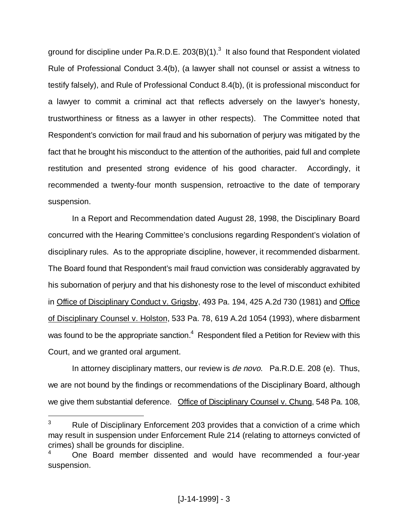ground for discipline under Pa.R.D.E. 203(B)(1). $3$  It also found that Respondent violated Rule of Professional Conduct 3.4(b), (a lawyer shall not counsel or assist a witness to testify falsely), and Rule of Professional Conduct 8.4(b), (it is professional misconduct for a lawyer to commit a criminal act that reflects adversely on the lawyer's honesty, trustworthiness or fitness as a lawyer in other respects). The Committee noted that Respondent's conviction for mail fraud and his subornation of perjury was mitigated by the fact that he brought his misconduct to the attention of the authorities, paid full and complete restitution and presented strong evidence of his good character. Accordingly, it recommended a twenty-four month suspension, retroactive to the date of temporary suspension.

In a Report and Recommendation dated August 28, 1998, the Disciplinary Board concurred with the Hearing Committee's conclusions regarding Respondent's violation of disciplinary rules. As to the appropriate discipline, however, it recommended disbarment. The Board found that Respondent's mail fraud conviction was considerably aggravated by his subornation of perjury and that his dishonesty rose to the level of misconduct exhibited in Office of Disciplinary Conduct v. Grigsby, 493 Pa. 194, 425 A.2d 730 (1981) and Office of Disciplinary Counsel v. Holston, 533 Pa. 78, 619 A.2d 1054 (1993), where disbarment was found to be the appropriate sanction. $^4$  Respondent filed a Petition for Review with this Court, and we granted oral argument.

In attorney disciplinary matters, our review is *de novo*. Pa.R.D.E. 208 (e). Thus, we are not bound by the findings or recommendations of the Disciplinary Board, although we give them substantial deference. Office of Disciplinary Counsel v. Chung, 548 Pa. 108,

<sup>3</sup> Rule of Disciplinary Enforcement 203 provides that a conviction of a crime which may result in suspension under Enforcement Rule 214 (relating to attorneys convicted of crimes) shall be grounds for discipline.

<sup>4</sup> One Board member dissented and would have recommended a four-year suspension.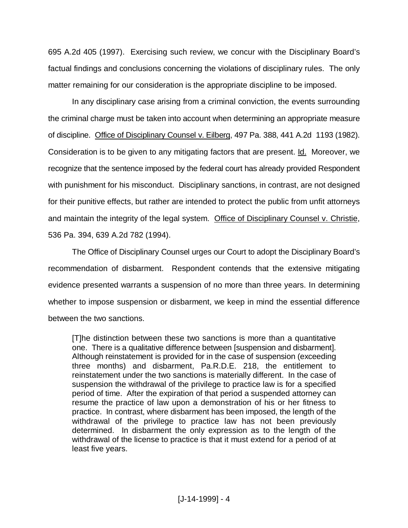695 A.2d 405 (1997). Exercising such review, we concur with the Disciplinary Board's factual findings and conclusions concerning the violations of disciplinary rules. The only matter remaining for our consideration is the appropriate discipline to be imposed.

In any disciplinary case arising from a criminal conviction, the events surrounding the criminal charge must be taken into account when determining an appropriate measure of discipline. Office of Disciplinary Counsel v. Eilberg, 497 Pa. 388, 441 A.2d 1193 (1982). Consideration is to be given to any mitigating factors that are present. Id. Moreover, we recognize that the sentence imposed by the federal court has already provided Respondent with punishment for his misconduct. Disciplinary sanctions, in contrast, are not designed for their punitive effects, but rather are intended to protect the public from unfit attorneys and maintain the integrity of the legal system. Office of Disciplinary Counsel v. Christie, 536 Pa. 394, 639 A.2d 782 (1994).

The Office of Disciplinary Counsel urges our Court to adopt the Disciplinary Board's recommendation of disbarment. Respondent contends that the extensive mitigating evidence presented warrants a suspension of no more than three years. In determining whether to impose suspension or disbarment, we keep in mind the essential difference between the two sanctions.

[T]he distinction between these two sanctions is more than a quantitative one. There is a qualitative difference between [suspension and disbarment]. Although reinstatement is provided for in the case of suspension (exceeding three months) and disbarment, Pa.R.D.E. 218, the entitlement to reinstatement under the two sanctions is materially different. In the case of suspension the withdrawal of the privilege to practice law is for a specified period of time. After the expiration of that period a suspended attorney can resume the practice of law upon a demonstration of his or her fitness to practice. In contrast, where disbarment has been imposed, the length of the withdrawal of the privilege to practice law has not been previously determined. In disbarment the only expression as to the length of the withdrawal of the license to practice is that it must extend for a period of at least five years.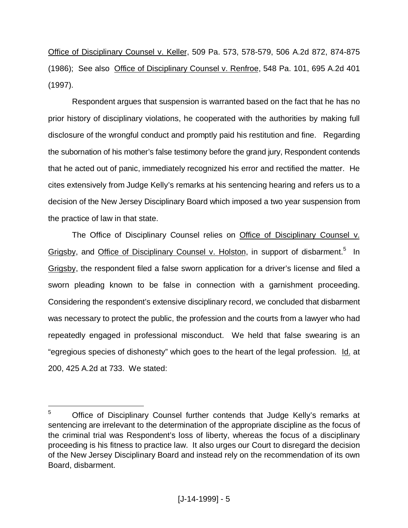Office of Disciplinary Counsel v. Keller, 509 Pa. 573, 578-579, 506 A.2d 872, 874-875 (1986); See also Office of Disciplinary Counsel v. Renfroe, 548 Pa. 101, 695 A.2d 401 (1997).

Respondent argues that suspension is warranted based on the fact that he has no prior history of disciplinary violations, he cooperated with the authorities by making full disclosure of the wrongful conduct and promptly paid his restitution and fine. Regarding the subornation of his mother's false testimony before the grand jury, Respondent contends that he acted out of panic, immediately recognized his error and rectified the matter. He cites extensively from Judge Kelly's remarks at his sentencing hearing and refers us to a decision of the New Jersey Disciplinary Board which imposed a two year suspension from the practice of law in that state.

The Office of Disciplinary Counsel relies on Office of Disciplinary Counsel v. Grigsby, and Office of Disciplinary Counsel v. Holston, in support of disbarment.<sup>5</sup> In Grigsby, the respondent filed a false sworn application for a driver's license and filed a sworn pleading known to be false in connection with a garnishment proceeding. Considering the respondent's extensive disciplinary record, we concluded that disbarment was necessary to protect the public, the profession and the courts from a lawyer who had repeatedly engaged in professional misconduct. We held that false swearing is an "egregious species of dishonesty" which goes to the heart of the legal profession. Id. at 200, 425 A.2d at 733. We stated:

<sup>5</sup> Office of Disciplinary Counsel further contends that Judge Kelly's remarks at sentencing are irrelevant to the determination of the appropriate discipline as the focus of the criminal trial was Respondent's loss of liberty, whereas the focus of a disciplinary proceeding is his fitness to practice law. It also urges our Court to disregard the decision of the New Jersey Disciplinary Board and instead rely on the recommendation of its own Board, disbarment.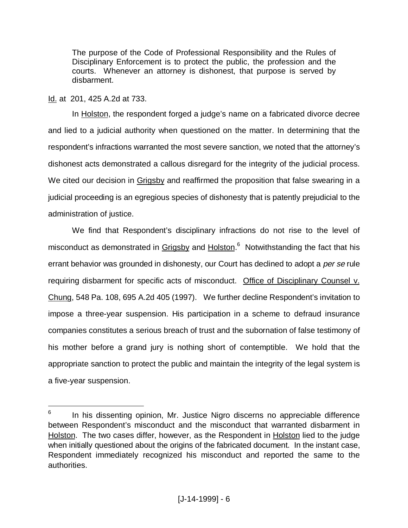The purpose of the Code of Professional Responsibility and the Rules of Disciplinary Enforcement is to protect the public, the profession and the courts. Whenever an attorney is dishonest, that purpose is served by disbarment.

Id. at 201, 425 A.2d at 733.

 $\overline{a}$ 

In Holston, the respondent forged a judge's name on a fabricated divorce decree and lied to a judicial authority when questioned on the matter. In determining that the respondent's infractions warranted the most severe sanction, we noted that the attorney's dishonest acts demonstrated a callous disregard for the integrity of the judicial process. We cited our decision in Grigsby and reaffirmed the proposition that false swearing in a judicial proceeding is an egregious species of dishonesty that is patently prejudicial to the administration of justice.

We find that Respondent's disciplinary infractions do not rise to the level of misconduct as demonstrated in Grigsby and Holston.<sup>6</sup> Notwithstanding the fact that his errant behavior was grounded in dishonesty, our Court has declined to adopt a *per se* rule requiring disbarment for specific acts of misconduct. Office of Disciplinary Counsel v. Chung, 548 Pa. 108, 695 A.2d 405 (1997). We further decline Respondent's invitation to impose a three-year suspension. His participation in a scheme to defraud insurance companies constitutes a serious breach of trust and the subornation of false testimony of his mother before a grand jury is nothing short of contemptible. We hold that the appropriate sanction to protect the public and maintain the integrity of the legal system is a five-year suspension.

<sup>6</sup> In his dissenting opinion, Mr. Justice Nigro discerns no appreciable difference between Respondent's misconduct and the misconduct that warranted disbarment in Holston. The two cases differ, however, as the Respondent in Holston lied to the judge when initially questioned about the origins of the fabricated document. In the instant case, Respondent immediately recognized his misconduct and reported the same to the authorities.